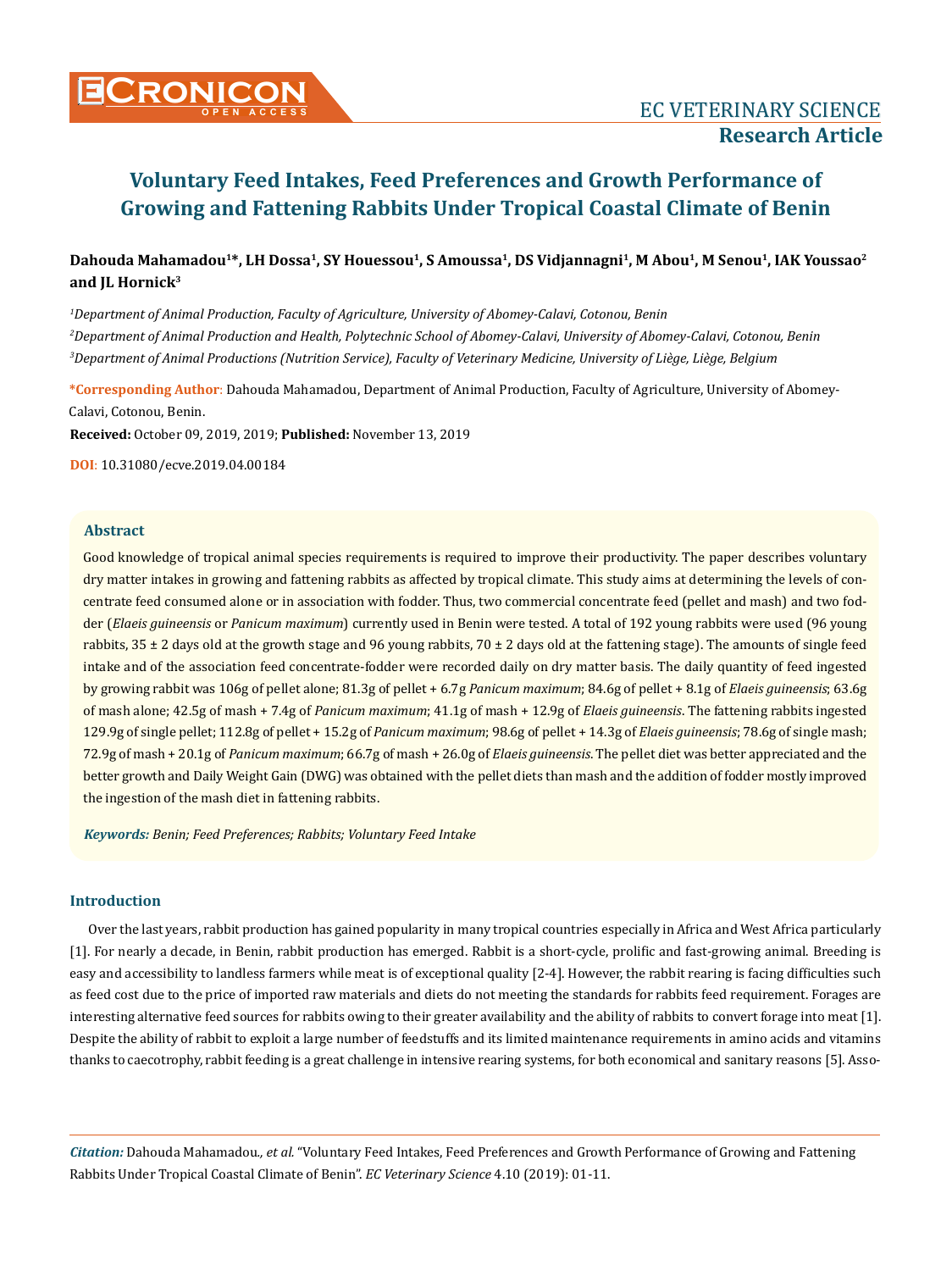# Dahouda Mahamadou<sup>1\*</sup>, LH Dossa<sup>1</sup>, SY Houessou<sup>1</sup>, S Amoussa<sup>1</sup>, DS Vidjannagni<sup>1</sup>, M Abou<sup>1</sup>, M Senou<sup>1</sup>, IAK Youssao<sup>2</sup> **and JL Hornick3**

*1 Department of Animal Production, Faculty of Agriculture, University of Abomey-Calavi, Cotonou, Benin 2 Department of Animal Production and Health, Polytechnic School of Abomey-Calavi, University of Abomey-Calavi, Cotonou, Benin 3 Department of Animal Productions (Nutrition Service), Faculty of Veterinary Medicine, University of Liège, Liège, Belgium*

**\*Corresponding Author**: Dahouda Mahamadou, Department of Animal Production, Faculty of Agriculture, University of Abomey-Calavi, Cotonou, Benin.

**Received:** October 09, 2019, 2019; **Published:** November 13, 2019

**DOI**: 10.31080/ecve.2019.04.00184

## **Abstract**

Good knowledge of tropical animal species requirements is required to improve their productivity. The paper describes voluntary dry matter intakes in growing and fattening rabbits as affected by tropical climate. This study aims at determining the levels of concentrate feed consumed alone or in association with fodder. Thus, two commercial concentrate feed (pellet and mash) and two fodder (*Elaeis guineensis* or *Panicum maximum*) currently used in Benin were tested. A total of 192 young rabbits were used (96 young rabbits,  $35 \pm 2$  days old at the growth stage and 96 young rabbits,  $70 \pm 2$  days old at the fattening stage). The amounts of single feed intake and of the association feed concentrate-fodder were recorded daily on dry matter basis. The daily quantity of feed ingested by growing rabbit was 106g of pellet alone; 81.3g of pellet + 6.7g *Panicum maximum*; 84.6g of pellet + 8.1g of *Elaeis guineensis*; 63.6g of mash alone; 42.5g of mash + 7.4g of *Panicum maximum*; 41.1g of mash + 12.9g of *Elaeis guineensis*. The fattening rabbits ingested 129.9g of single pellet; 112.8g of pellet + 15.2g of *Panicum maximum*; 98.6g of pellet + 14.3g of *Elaeis guineensis*; 78.6g of single mash; 72.9g of mash + 20.1g of *Panicum maximum*; 66.7g of mash + 26.0g of *Elaeis guineensis*. The pellet diet was better appreciated and the better growth and Daily Weight Gain (DWG) was obtained with the pellet diets than mash and the addition of fodder mostly improved the ingestion of the mash diet in fattening rabbits.

*Keywords: Benin; Feed Preferences; Rabbits; Voluntary Feed Intake* 

## **Introduction**

Over the last years, rabbit production has gained popularity in many tropical countries especially in Africa and West Africa particularly [1]. For nearly a decade, in Benin, rabbit production has emerged. Rabbit is a short-cycle, prolific and fast-growing animal. Breeding is easy and accessibility to landless farmers while meat is of exceptional quality [2-4]. However, the rabbit rearing is facing difficulties such as feed cost due to the price of imported raw materials and diets do not meeting the standards for rabbits feed requirement. Forages are interesting alternative feed sources for rabbits owing to their greater availability and the ability of rabbits to convert forage into meat [1]. Despite the ability of rabbit to exploit a large number of feedstuffs and its limited maintenance requirements in amino acids and vitamins thanks to caecotrophy, rabbit feeding is a great challenge in intensive rearing systems, for both economical and sanitary reasons [5]. Asso-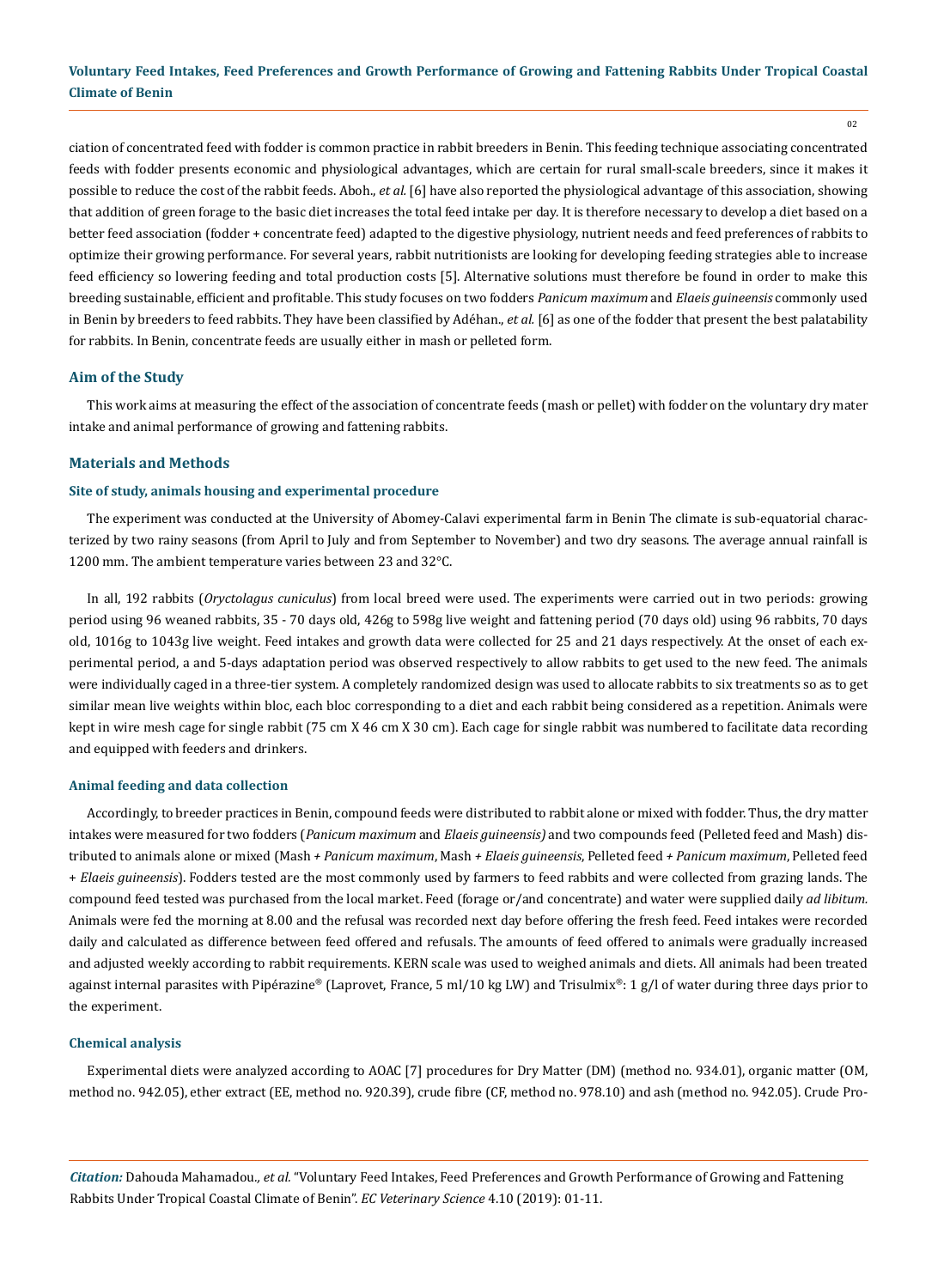02

ciation of concentrated feed with fodder is common practice in rabbit breeders in Benin. This feeding technique associating concentrated feeds with fodder presents economic and physiological advantages, which are certain for rural small-scale breeders, since it makes it possible to reduce the cost of the rabbit feeds. Aboh., *et al.* [6] have also reported the physiological advantage of this association, showing that addition of green forage to the basic diet increases the total feed intake per day. It is therefore necessary to develop a diet based on a better feed association (fodder + concentrate feed) adapted to the digestive physiology, nutrient needs and feed preferences of rabbits to optimize their growing performance. For several years, rabbit nutritionists are looking for developing feeding strategies able to increase feed efficiency so lowering feeding and total production costs [5]. Alternative solutions must therefore be found in order to make this breeding sustainable, efficient and profitable. This study focuses on two fodders *Panicum maximum* and *Elaeis guineensis* commonly used in Benin by breeders to feed rabbits. They have been classified by Adéhan., *et al.* [6] as one of the fodder that present the best palatability for rabbits. In Benin, concentrate feeds are usually either in mash or pelleted form.

## **Aim of the Study**

This work aims at measuring the effect of the association of concentrate feeds (mash or pellet) with fodder on the voluntary dry mater intake and animal performance of growing and fattening rabbits.

#### **Materials and Methods**

## **Site of study, animals housing and experimental procedure**

The experiment was conducted at the University of Abomey-Calavi experimental farm in Benin The climate is sub-equatorial characterized by two rainy seasons (from April to July and from September to November) and two dry seasons. The average annual rainfall is 1200 mm. The ambient temperature varies between 23 and 32°C.

In all, 192 rabbits (*Oryctolagus cuniculus*) from local breed were used. The experiments were carried out in two periods: growing period using 96 weaned rabbits, 35 - 70 days old, 426g to 598g live weight and fattening period (70 days old) using 96 rabbits, 70 days old, 1016g to 1043g live weight. Feed intakes and growth data were collected for 25 and 21 days respectively. At the onset of each experimental period, a and 5-days adaptation period was observed respectively to allow rabbits to get used to the new feed. The animals were individually caged in a three-tier system. A completely randomized design was used to allocate rabbits to six treatments so as to get similar mean live weights within bloc, each bloc corresponding to a diet and each rabbit being considered as a repetition. Animals were kept in wire mesh cage for single rabbit (75 cm X 46 cm X 30 cm). Each cage for single rabbit was numbered to facilitate data recording and equipped with feeders and drinkers.

#### **Animal feeding and data collection**

Accordingly, to breeder practices in Benin, compound feeds were distributed to rabbit alone or mixed with fodder. Thus, the dry matter intakes were measured for two fodders (*Panicum maximum* and *Elaeis guineensis)* and two compounds feed (Pelleted feed and Mash) distributed to animals alone or mixed (Mash *+ Panicum maximum*, Mash *+ Elaeis guineensis*, Pelleted feed *+ Panicum maximum*, Pelleted feed + *Elaeis guineensis*). Fodders tested are the most commonly used by farmers to feed rabbits and were collected from grazing lands. The compound feed tested was purchased from the local market. Feed (forage or/and concentrate) and water were supplied daily *ad libitum.* Animals were fed the morning at 8.00 and the refusal was recorded next day before offering the fresh feed. Feed intakes were recorded daily and calculated as difference between feed offered and refusals. The amounts of feed offered to animals were gradually increased and adjusted weekly according to rabbit requirements. KERN scale was used to weighed animals and diets. All animals had been treated against internal parasites with Pipérazine® (Laprovet, France, 5 ml/10 kg LW) and Trisulmix®: 1 g/l of water during three days prior to the experiment.

#### **Chemical analysis**

Experimental diets were analyzed according to AOAC [7] procedures for Dry Matter (DM) (method no. 934.01), organic matter (OM, method no. 942.05), ether extract (EE, method no. 920.39), crude fibre (CF, method no. 978.10) and ash (method no. 942.05). Crude Pro-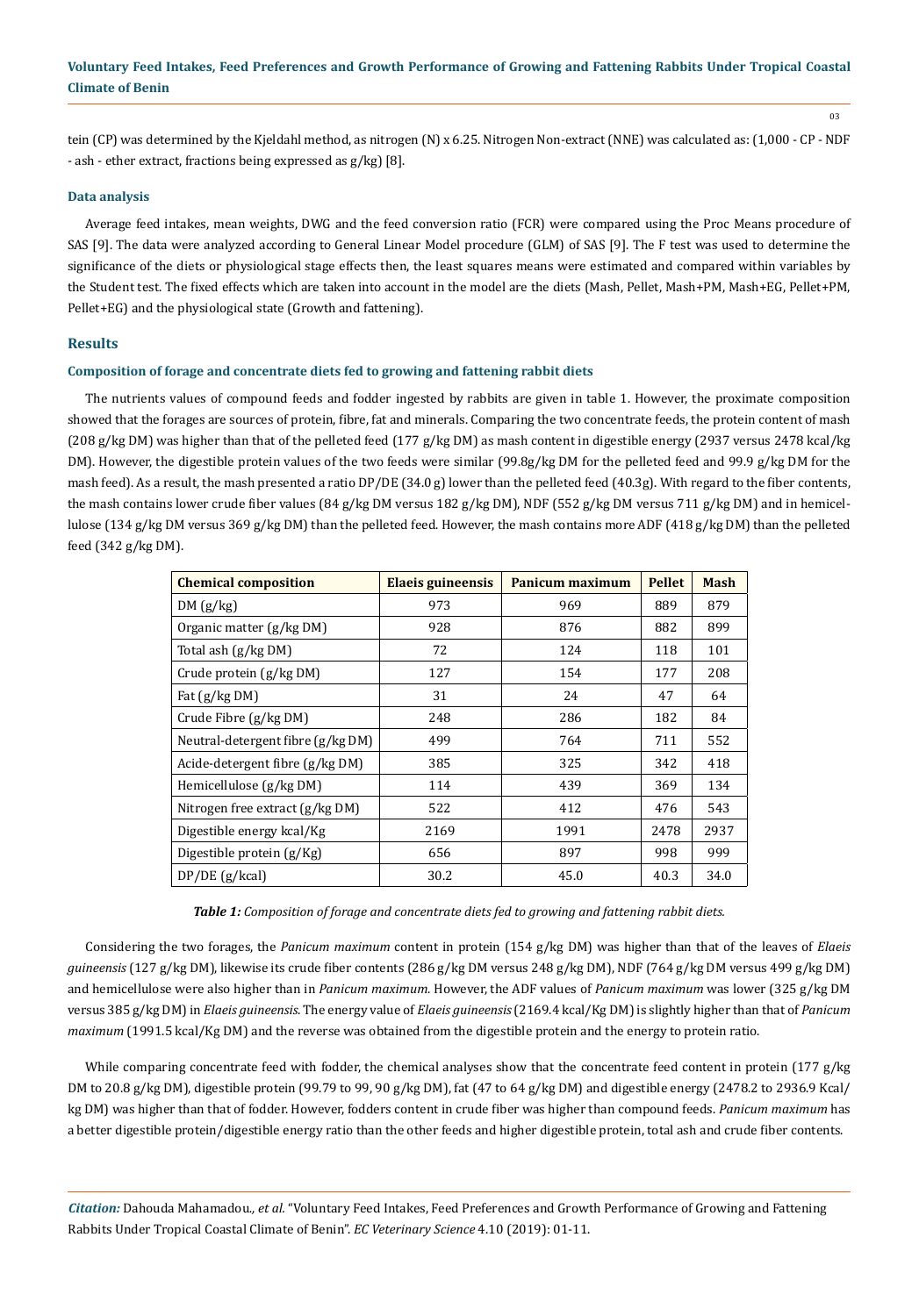03

tein (CP) was determined by the Kjeldahl method, as nitrogen (N) x 6.25. Nitrogen Non-extract (NNE) was calculated as: (1,000 - CP - NDF - ash - ether extract, fractions being expressed as g/kg) [8].

#### **Data analysis**

Average feed intakes, mean weights, DWG and the feed conversion ratio (FCR) were compared using the Proc Means procedure of SAS [9]. The data were analyzed according to General Linear Model procedure (GLM) of SAS [9]. The F test was used to determine the significance of the diets or physiological stage effects then, the least squares means were estimated and compared within variables by the Student test. The fixed effects which are taken into account in the model are the diets (Mash, Pellet, Mash+PM, Mash+EG, Pellet+PM, Pellet+EG) and the physiological state (Growth and fattening).

## **Results**

## **Composition of forage and concentrate diets fed to growing and fattening rabbit diets**

The nutrients values of compound feeds and fodder ingested by rabbits are given in table 1. However, the proximate composition showed that the forages are sources of protein, fibre, fat and minerals. Comparing the two concentrate feeds, the protein content of mash (208 g/kg DM) was higher than that of the pelleted feed (177 g/kg DM) as mash content in digestible energy (2937 versus 2478 kcal/kg DM). However, the digestible protein values of the two feeds were similar (99.8g/kg DM for the pelleted feed and 99.9 g/kg DM for the mash feed). As a result, the mash presented a ratio DP/DE (34.0 g) lower than the pelleted feed (40.3g). With regard to the fiber contents, the mash contains lower crude fiber values (84 g/kg DM versus 182 g/kg DM), NDF (552 g/kg DM versus 711 g/kg DM) and in hemicellulose (134 g/kg DM versus 369 g/kg DM) than the pelleted feed. However, the mash contains more ADF (418 g/kg DM) than the pelleted feed (342 g/kg DM).

| <b>Chemical composition</b>         | Elaeis guineensis | Panicum maximum | <b>Pellet</b> | <b>Mash</b> |
|-------------------------------------|-------------------|-----------------|---------------|-------------|
| DM(g/kg)                            | 973               | 969             | 889           | 879         |
| Organic matter (g/kg DM)            | 928               | 876             | 882           | 899         |
| Total ash (g/kg DM)                 | 72                | 124             | 118           | 101         |
| Crude protein (g/kg DM)             | 127               | 154             | 177           | 208         |
| Fat $(g/kg DM)$                     | 31                | 24              | 47            | 64          |
| Crude Fibre (g/kg DM)               | 248               | 286             | 182           | 84          |
| Neutral-detergent fibre $(g/kg DM)$ | 499               | 764             | 711           | 552         |
| Acide-detergent fibre (g/kg DM)     | 385               | 325             | 342           | 418         |
| Hemicellulose (g/kg DM)             | 114               | 439             | 369           | 134         |
| Nitrogen free extract (g/kg DM)     | 522               | 412             | 476           | 543         |
| Digestible energy kcal/Kg           | 2169              | 1991            | 2478          | 2937        |
| Digestible protein $(g/Kg)$         | 656               | 897             | 998           | 999         |
| $DP/DE$ (g/kcal)                    | 30.2              | 45.0            | 40.3          | 34.0        |

*Table 1: Composition of forage and concentrate diets fed to growing and fattening rabbit diets.*

Considering the two forages, the *Panicum maximum* content in protein (154 g/kg DM) was higher than that of the leaves of *Elaeis guineensis* (127 g/kg DM), likewise its crude fiber contents (286 g/kg DM versus 248 g/kg DM), NDF (764 g/kg DM versus 499 g/kg DM) and hemicellulose were also higher than in *Panicum maximum*. However, the ADF values of *Panicum maximum* was lower (325 g/kg DM versus 385 g/kg DM) in *Elaeis guineensis*. The energy value of *Elaeis guineensis* (2169.4 kcal/Kg DM) is slightly higher than that of *Panicum maximum* (1991.5 kcal/Kg DM) and the reverse was obtained from the digestible protein and the energy to protein ratio.

While comparing concentrate feed with fodder, the chemical analyses show that the concentrate feed content in protein  $(177 g/kg)$ DM to 20.8 g/kg DM), digestible protein (99.79 to 99, 90 g/kg DM), fat (47 to 64 g/kg DM) and digestible energy (2478.2 to 2936.9 Kcal/ kg DM) was higher than that of fodder. However, fodders content in crude fiber was higher than compound feeds. *Panicum maximum* has a better digestible protein/digestible energy ratio than the other feeds and higher digestible protein, total ash and crude fiber contents.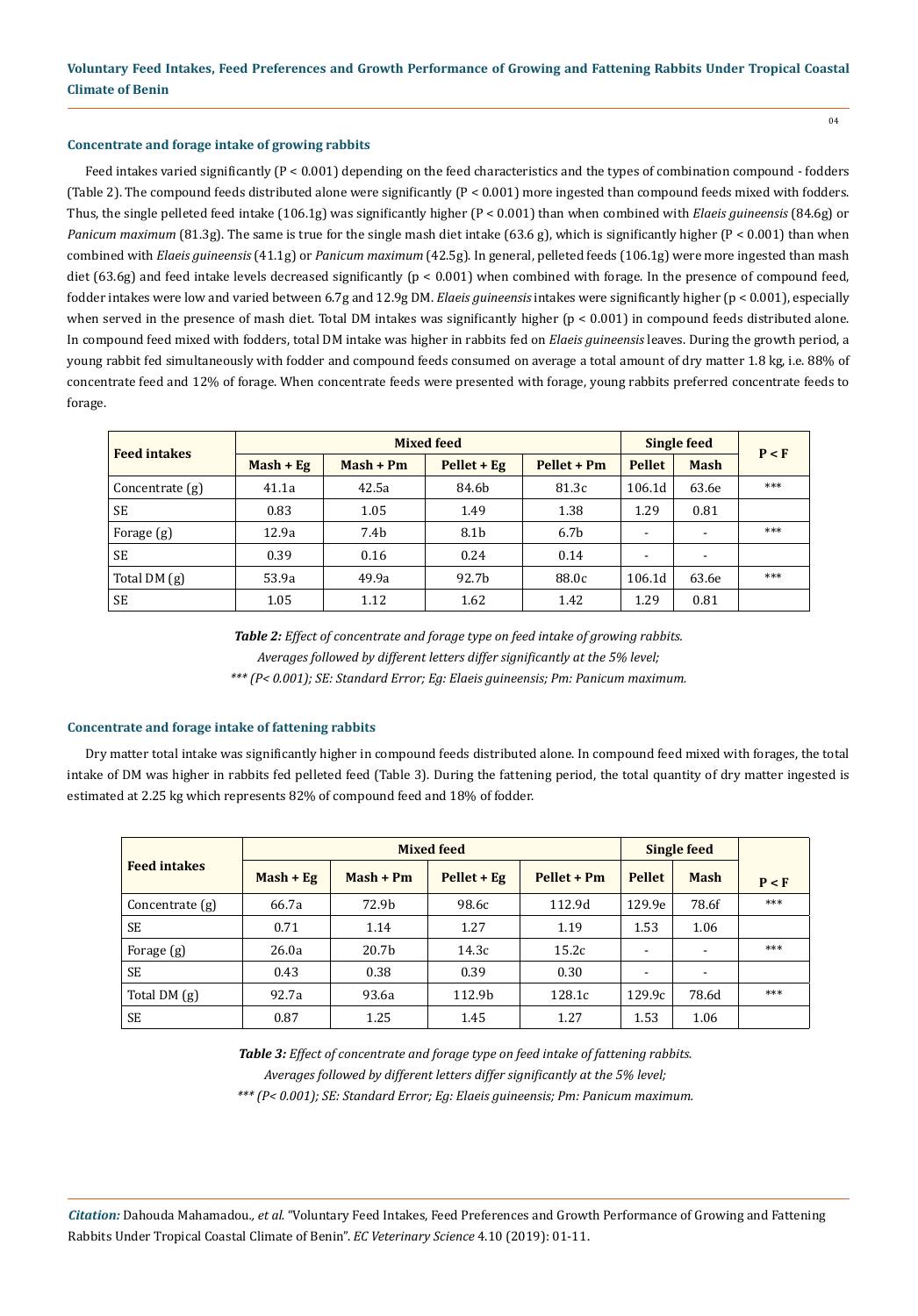#### **Concentrate and forage intake of growing rabbits**

Feed intakes varied significantly (P < 0.001) depending on the feed characteristics and the types of combination compound - fodders (Table 2). The compound feeds distributed alone were significantly (P < 0.001) more ingested than compound feeds mixed with fodders. Thus, the single pelleted feed intake (106.1g) was significantly higher (P < 0.001) than when combined with *Elaeis guineensis* (84.6g) or *Panicum maximum* (81.3g). The same is true for the single mash diet intake (63.6 g), which is significantly higher (P < 0.001) than when combined with *Elaeis guineensis* (41.1g) or *Panicum maximum* (42.5g). In general, pelleted feeds (106.1g) were more ingested than mash diet (63.6g) and feed intake levels decreased significantly ( $p < 0.001$ ) when combined with forage. In the presence of compound feed, fodder intakes were low and varied between 6.7g and 12.9g DM. *Elaeis guineensis* intakes were significantly higher (p < 0.001), especially when served in the presence of mash diet. Total DM intakes was significantly higher (p < 0.001) in compound feeds distributed alone. In compound feed mixed with fodders, total DM intake was higher in rabbits fed on *Elaeis guineensis* leaves. During the growth period, a young rabbit fed simultaneously with fodder and compound feeds consumed on average a total amount of dry matter 1.8 kg, i.e. 88% of concentrate feed and 12% of forage. When concentrate feeds were presented with forage, young rabbits preferred concentrate feeds to forage.

| <b>Feed intakes</b> |             | <b>Mixed feed</b> | <b>Single feed</b> | P < F            |                          |             |     |
|---------------------|-------------|-------------------|--------------------|------------------|--------------------------|-------------|-----|
|                     | $Mask + Eg$ | $Mash + Pm$       | $Pellet + Eg$      | Pellet + Pm      | <b>Pellet</b>            | <b>Mash</b> |     |
| Concentrate $(g)$   | 41.1a       | 42.5a             | 84.6b              | 81.3c            | 106.1d                   | 63.6e       | *** |
| <b>SE</b>           | 0.83        | 1.05              | 1.49               | 1.38             | 1.29                     | 0.81        |     |
| Forage (g)          | 12.9a       | 7.4 <sub>b</sub>  | 8.1b               | 6.7 <sub>b</sub> | $\overline{\phantom{a}}$ |             | *** |
| <b>SE</b>           | 0.39        | 0.16              | 0.24               | 0.14             | $\overline{\phantom{a}}$ |             |     |
| Total DM $(g)$      | 53.9a       | 49.9a             | 92.7b              | 88.0c            | 106.1d                   | 63.6e       | *** |
| SE                  | 1.05        | 1.12              | 1.62               | 1.42             | 1.29                     | 0.81        |     |

*Table 2: Effect of concentrate and forage type on feed intake of growing rabbits. Averages followed by different letters differ significantly at the 5% level;* 

*\*\*\* (P< 0.001); SE: Standard Error; Eg: Elaeis guineensis; Pm: Panicum maximum.*

#### **Concentrate and forage intake of fattening rabbits**

Dry matter total intake was significantly higher in compound feeds distributed alone. In compound feed mixed with forages, the total intake of DM was higher in rabbits fed pelleted feed (Table 3). During the fattening period, the total quantity of dry matter ingested is estimated at 2.25 kg which represents 82% of compound feed and 18% of fodder.

|                     |             | <b>Mixed feed</b> |             | Single feed |                          |                          |       |
|---------------------|-------------|-------------------|-------------|-------------|--------------------------|--------------------------|-------|
| <b>Feed intakes</b> | $Mask + Eg$ | $Mash + Pm$       | Pellet + Eg | Pellet + Pm | <b>Pellet</b>            | <b>Mash</b>              | P < F |
| Concentrate $(g)$   | 66.7a       | 72.9b             | 98.6c       | 112.9d      | 129.9e                   | 78.6f                    | ***   |
| SE                  | 0.71        | 1.14              | 1.27        | 1.19        | 1.53                     | 1.06                     |       |
| Forage (g)          | 26.0a       | 20.7b             | 14.3c       | 15.2c       | $\overline{\phantom{0}}$ |                          | ***   |
| <b>SE</b>           | 0.43        | 0.38              | 0.39        | 0.30        | ٠                        | $\overline{\phantom{a}}$ |       |
| Total DM (g)        | 92.7a       | 93.6a             | 112.9b      | 128.1c      | 129.9c                   | 78.6d                    | ***   |
| <b>SE</b>           | 0.87        | 1.25              | 1.45        | 1.27        | 1.53                     | 1.06                     |       |

*Table 3: Effect of concentrate and forage type on feed intake of fattening rabbits. Averages followed by different letters differ significantly at the 5% level; \*\*\* (P< 0.001); SE: Standard Error; Eg: Elaeis guineensis; Pm: Panicum maximum.*

*Citation:* Dahouda Mahamadou*., et al.* "Voluntary Feed Intakes, Feed Preferences and Growth Performance of Growing and Fattening Rabbits Under Tropical Coastal Climate of Benin". *EC Veterinary Science* 4.10 (2019): 01-11.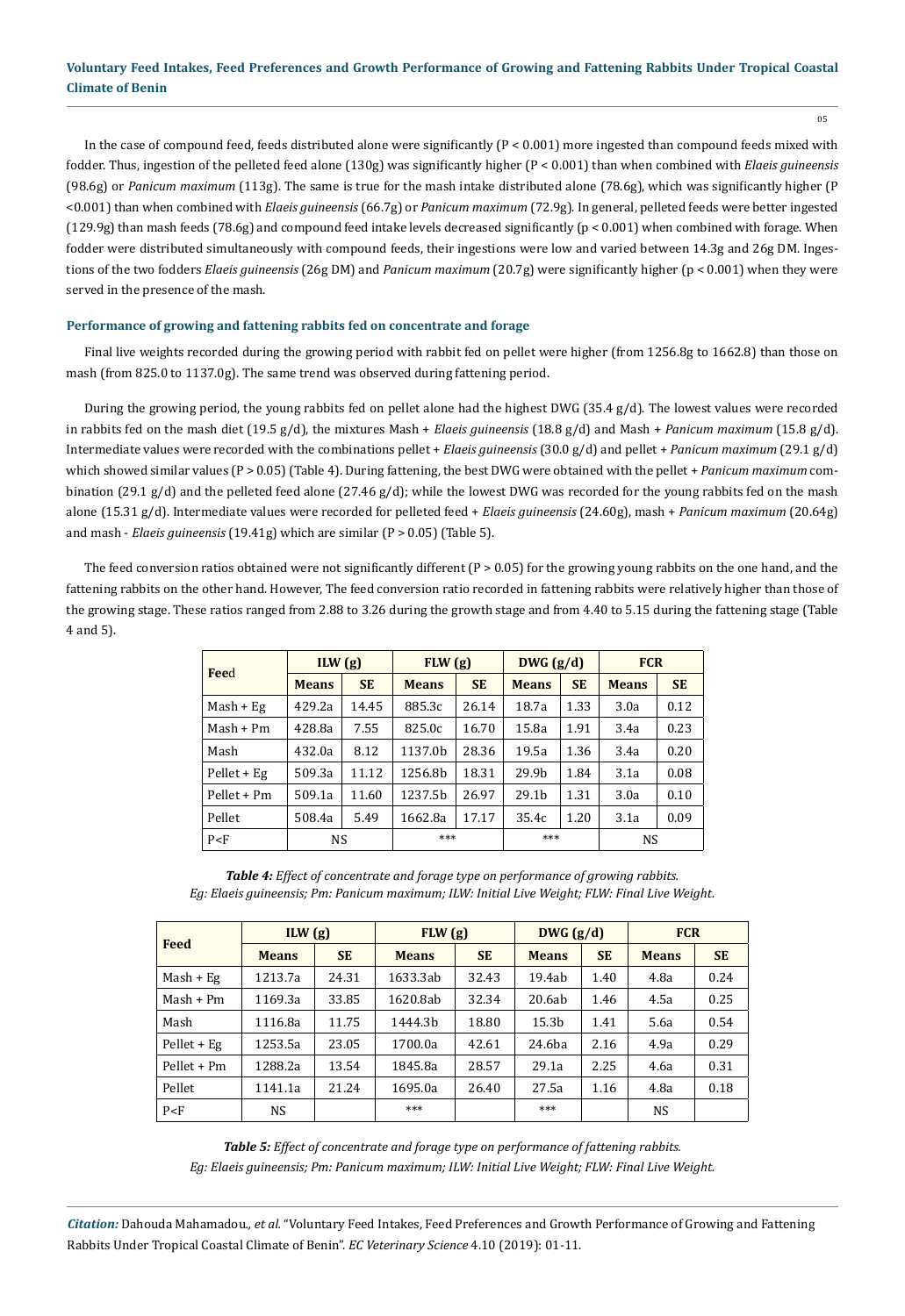05

In the case of compound feed, feeds distributed alone were significantly  $(P < 0.001)$  more ingested than compound feeds mixed with fodder. Thus, ingestion of the pelleted feed alone (130g) was significantly higher (P < 0.001) than when combined with *Elaeis guineensis* (98.6g) or *Panicum maximum* (113g). The same is true for the mash intake distributed alone (78.6g), which was significantly higher (P <0.001) than when combined with *Elaeis guineensis* (66.7g) or *Panicum maximum* (72.9g). In general, pelleted feeds were better ingested (129.9g) than mash feeds (78.6g) and compound feed intake levels decreased significantly (p < 0.001) when combined with forage. When fodder were distributed simultaneously with compound feeds, their ingestions were low and varied between 14.3g and 26g DM. Ingestions of the two fodders *Elaeis guineensis* (26g DM) and *Panicum maximum* (20.7g) were significantly higher (p < 0.001) when they were served in the presence of the mash.

## **Performance of growing and fattening rabbits fed on concentrate and forage**

Final live weights recorded during the growing period with rabbit fed on pellet were higher (from 1256.8g to 1662.8) than those on mash (from 825.0 to 1137.0g). The same trend was observed during fattening period.

During the growing period, the young rabbits fed on pellet alone had the highest DWG (35.4 g/d). The lowest values were recorded in rabbits fed on the mash diet (19.5 g/d), the mixtures Mash + *Elaeis guineensis* (18.8 g/d) and Mash + *Panicum maximum* (15.8 g/d). Intermediate values were recorded with the combinations pellet + *Elaeis guineensis* (30.0 g/d) and pellet + *Panicum maximum* (29.1 g/d) which showed similar values (P > 0.05) (Table 4). During fattening, the best DWG were obtained with the pellet + *Panicum maximum* combination (29.1 g/d) and the pelleted feed alone (27.46 g/d); while the lowest DWG was recorded for the young rabbits fed on the mash alone (15.31 g/d). Intermediate values were recorded for pelleted feed + *Elaeis guineensis* (24.60g), mash + *Panicum maximum* (20.64g) and mash - *Elaeis guineensis* (19.41g) which are similar (P > 0.05) (Table 5).

The feed conversion ratios obtained were not significantly different  $(P > 0.05)$  for the growing young rabbits on the one hand, and the fattening rabbits on the other hand. However, The feed conversion ratio recorded in fattening rabbits were relatively higher than those of the growing stage. These ratios ranged from 2.88 to 3.26 during the growth stage and from 4.40 to 5.15 during the fattening stage (Table 4 and 5).

| Feed          | ILW(g)       |           | FLW(g)       |           | DWG (g/d)         |           | <b>FCR</b>   |           |  |
|---------------|--------------|-----------|--------------|-----------|-------------------|-----------|--------------|-----------|--|
|               | <b>Means</b> | <b>SE</b> | <b>Means</b> | <b>SE</b> | <b>Means</b>      | <b>SE</b> | <b>Means</b> | <b>SE</b> |  |
| $Mask + Eg$   | 429.2a       | 14.45     | 885.3c       | 26.14     | 18.7a             | 1.33      | 3.0a         | 0.12      |  |
| $Mask + Pm$   | 428.8a       | 7.55      | 825.0c       | 16.70     | 15.8a             | 1.91      | 3.4a         | 0.23      |  |
| Mash          | 432.0a       | 8.12      | 1137.0b      | 28.36     | 19.5a             | 1.36      | 3.4a         | 0.20      |  |
| $Pellet + Eg$ | 509.3a       | 11.12     | 1256.8b      | 18.31     | 29.9b             | 1.84      | 3.1a         | 0.08      |  |
| Pellet + Pm   | 509.1a       | 11.60     | 1237.5b      | 26.97     | 29.1 <sub>b</sub> | 1.31      | 3.0a         | 0.10      |  |
| Pellet        | 508.4a       | 5.49      | 1662.8a      | 17.17     | 35.4c             | 1.20      | 3.1a         | 0.09      |  |
| P < F         | <b>NS</b>    |           | ***          |           | ***               |           | <b>NS</b>    |           |  |

*Table 4: Effect of concentrate and forage type on performance of growing rabbits. Eg: Elaeis guineensis; Pm: Panicum maximum; ILW: Initial Live Weight; FLW: Final Live Weight.*

| Feed          | ILW(g)       |           | FLW(g)       |           | DWG (g/d)         |           | <b>FCR</b>   |           |
|---------------|--------------|-----------|--------------|-----------|-------------------|-----------|--------------|-----------|
|               | <b>Means</b> | <b>SE</b> | <b>Means</b> | <b>SE</b> | <b>Means</b>      | <b>SE</b> | <b>Means</b> | <b>SE</b> |
| $Mask + Eg$   | 1213.7a      | 24.31     | 1633.3ab     | 32.43     | 19.4ab            | 1.40      | 4.8a         | 0.24      |
| $Mask + Pm$   | 1169.3a      | 33.85     | 1620.8ab     | 32.34     | 20.6ab            | 1.46      | 4.5a         | 0.25      |
| Mash          | 1116.8a      | 11.75     | 1444.3b      | 18.80     | 15.3 <sub>b</sub> | 1.41      | 5.6a         | 0.54      |
| $Pellet + Eg$ | 1253.5a      | 23.05     | 1700.0a      | 42.61     | 24.6ba            | 2.16      | 4.9a         | 0.29      |
| Pellet + Pm   | 1288.2a      | 13.54     | 1845.8a      | 28.57     | 29.1a             | 2.25      | 4.6a         | 0.31      |
| Pellet        | 1141.1a      | 21.24     | 1695.0a      | 26.40     | 27.5a             | 1.16      | 4.8a         | 0.18      |
| P < F         | <b>NS</b>    |           | ***          |           | ***               |           | <b>NS</b>    |           |

*Table 5: Effect of concentrate and forage type on performance of fattening rabbits. Eg: Elaeis guineensis; Pm: Panicum maximum; ILW: Initial Live Weight; FLW: Final Live Weight.*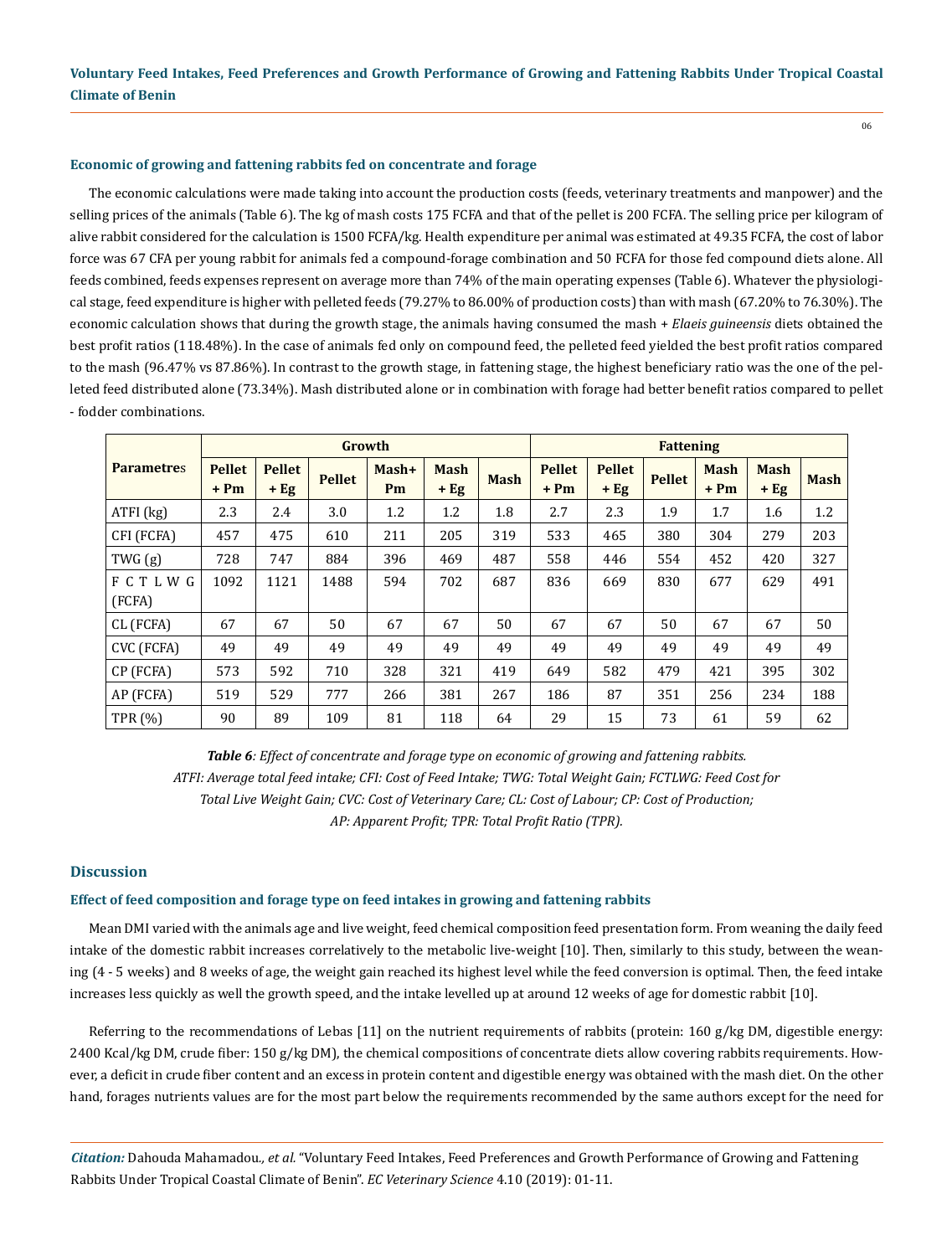#### **Economic of growing and fattening rabbits fed on concentrate and forage**

The economic calculations were made taking into account the production costs (feeds, veterinary treatments and manpower) and the selling prices of the animals (Table 6). The kg of mash costs 175 FCFA and that of the pellet is 200 FCFA. The selling price per kilogram of alive rabbit considered for the calculation is 1500 FCFA/kg. Health expenditure per animal was estimated at 49.35 FCFA, the cost of labor force was 67 CFA per young rabbit for animals fed a compound-forage combination and 50 FCFA for those fed compound diets alone. All feeds combined, feeds expenses represent on average more than 74% of the main operating expenses (Table 6). Whatever the physiological stage, feed expenditure is higher with pelleted feeds (79.27% to 86.00% of production costs) than with mash (67.20% to 76.30%). The economic calculation shows that during the growth stage, the animals having consumed the mash + *Elaeis guineensis* diets obtained the best profit ratios (118.48%). In the case of animals fed only on compound feed, the pelleted feed yielded the best profit ratios compared to the mash (96.47% vs 87.86%). In contrast to the growth stage, in fattening stage, the highest beneficiary ratio was the one of the pelleted feed distributed alone (73.34%). Mash distributed alone or in combination with forage had better benefit ratios compared to pellet - fodder combinations.

|                         |                         |                         | Growth        |               |                       |             | <b>Fattening</b>        |                         |               |                       |                       |             |
|-------------------------|-------------------------|-------------------------|---------------|---------------|-----------------------|-------------|-------------------------|-------------------------|---------------|-----------------------|-----------------------|-------------|
| <b>Parametres</b>       | <b>Pellet</b><br>$+ Pm$ | <b>Pellet</b><br>$+$ Eg | <b>Pellet</b> | $Mask+$<br>Pm | <b>Mash</b><br>$+$ Eg | <b>Mash</b> | <b>Pellet</b><br>$+ Pm$ | <b>Pellet</b><br>$+$ Eg | <b>Pellet</b> | <b>Mash</b><br>$+ Pm$ | <b>Mash</b><br>$+$ Eg | <b>Mash</b> |
| $ATFI$ $(kg)$           | 2.3                     | 2.4                     | 3.0           | 1.2           | 1.2                   | 1.8         | 2.7                     | 2.3                     | 1.9           | 1.7                   | 1.6                   | 1.2         |
| CFI (FCFA)              | 457                     | 475                     | 610           | 211           | 205                   | 319         | 533                     | 465                     | 380           | 304                   | 279                   | 203         |
| TWG(g)                  | 728                     | 747                     | 884           | 396           | 469                   | 487         | 558                     | 446                     | 554           | 452                   | 420                   | 327         |
| <b>FCTLWG</b><br>(FCFA) | 1092                    | 1121                    | 1488          | 594           | 702                   | 687         | 836                     | 669                     | 830           | 677                   | 629                   | 491         |
| CL (FCFA)               | 67                      | 67                      | 50            | 67            | 67                    | 50          | 67                      | 67                      | 50            | 67                    | 67                    | 50          |
| CVC (FCFA)              | 49                      | 49                      | 49            | 49            | 49                    | 49          | 49                      | 49                      | 49            | 49                    | 49                    | 49          |
| CP (FCFA)               | 573                     | 592                     | 710           | 328           | 321                   | 419         | 649                     | 582                     | 479           | 421                   | 395                   | 302         |
| AP (FCFA)               | 519                     | 529                     | 777           | 266           | 381                   | 267         | 186                     | 87                      | 351           | 256                   | 234                   | 188         |
| <b>TPR</b> (%)          | 90                      | 89                      | 109           | 81            | 118                   | 64          | 29                      | 15                      | 73            | 61                    | 59                    | 62          |

*Table 6: Effect of concentrate and forage type on economic of growing and fattening rabbits. ATFI: Average total feed intake; CFI: Cost of Feed Intake; TWG: Total Weight Gain; FCTLWG: Feed Cost for Total Live Weight Gain; CVC: Cost of Veterinary Care; CL: Cost of Labour; CP: Cost of Production; AP: Apparent Profit; TPR: Total Profit Ratio (TPR).*

#### **Discussion**

#### **Effect of feed composition and forage type on feed intakes in growing and fattening rabbits**

Mean DMI varied with the animals age and live weight, feed chemical composition feed presentation form. From weaning the daily feed intake of the domestic rabbit increases correlatively to the metabolic live-weight [10]. Then, similarly to this study, between the weaning (4 - 5 weeks) and 8 weeks of age, the weight gain reached its highest level while the feed conversion is optimal. Then, the feed intake increases less quickly as well the growth speed, and the intake levelled up at around 12 weeks of age for domestic rabbit [10].

Referring to the recommendations of Lebas [11] on the nutrient requirements of rabbits (protein: 160 g/kg DM, digestible energy: 2400 Kcal/kg DM, crude fiber: 150 g/kg DM), the chemical compositions of concentrate diets allow covering rabbits requirements. However, a deficit in crude fiber content and an excess in protein content and digestible energy was obtained with the mash diet. On the other hand, forages nutrients values are for the most part below the requirements recommended by the same authors except for the need for

*Citation:* Dahouda Mahamadou*., et al.* "Voluntary Feed Intakes, Feed Preferences and Growth Performance of Growing and Fattening Rabbits Under Tropical Coastal Climate of Benin". *EC Veterinary Science* 4.10 (2019): 01-11.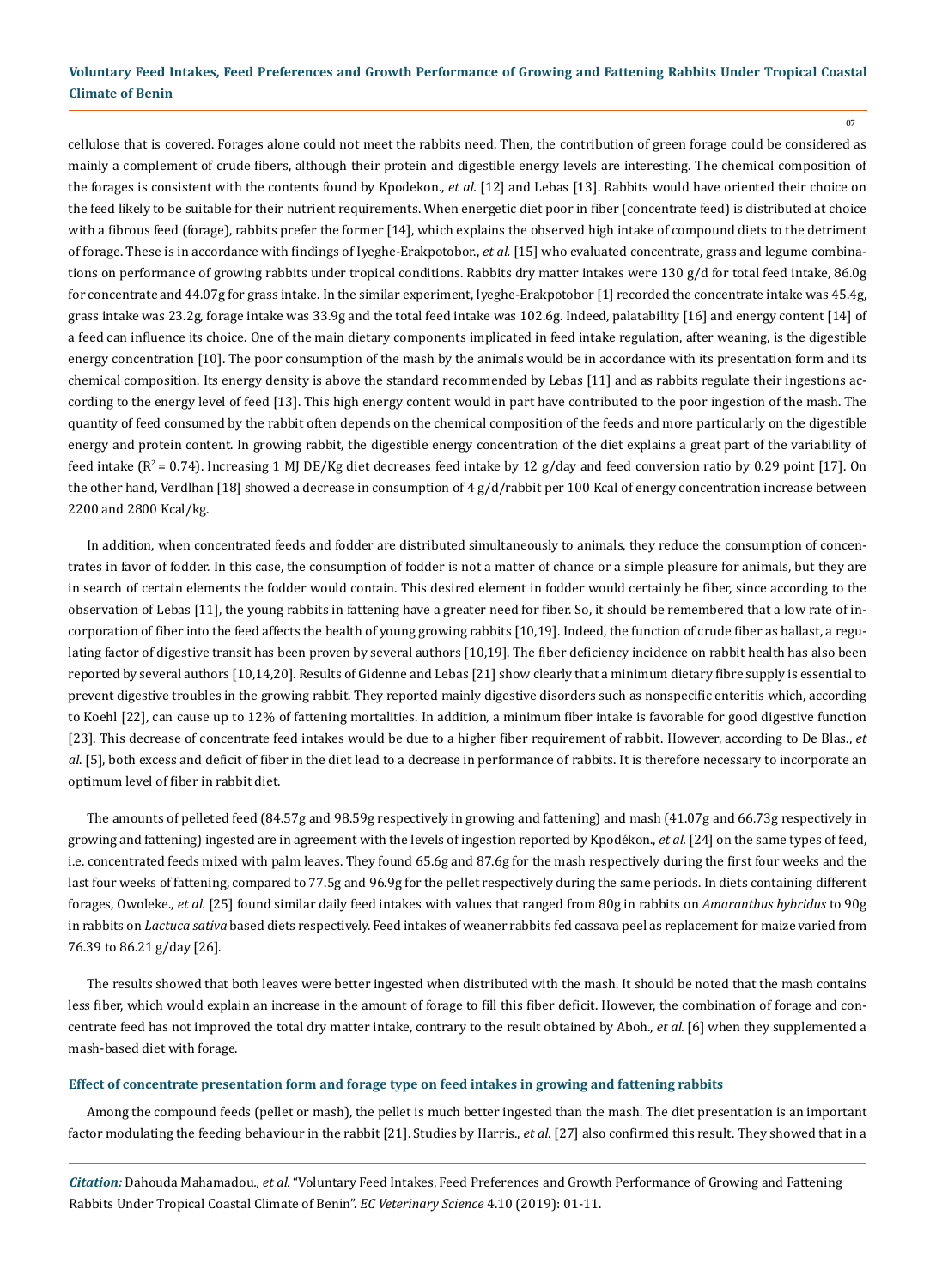07

cellulose that is covered. Forages alone could not meet the rabbits need. Then, the contribution of green forage could be considered as mainly a complement of crude fibers, although their protein and digestible energy levels are interesting. The chemical composition of the forages is consistent with the contents found by Kpodekon., *et al.* [12] and Lebas [13]. Rabbits would have oriented their choice on the feed likely to be suitable for their nutrient requirements. When energetic diet poor in fiber (concentrate feed) is distributed at choice with a fibrous feed (forage), rabbits prefer the former [14], which explains the observed high intake of compound diets to the detriment of forage. These is in accordance with findings of Iyeghe-Erakpotobor., *et al.* [15] who evaluated concentrate, grass and legume combinations on performance of growing rabbits under tropical conditions. Rabbits dry matter intakes were 130 g/d for total feed intake, 86.0g for concentrate and 44.07g for grass intake. In the similar experiment, Iyeghe-Erakpotobor [1] recorded the concentrate intake was 45.4g, grass intake was 23.2g, forage intake was 33.9g and the total feed intake was 102.6g. Indeed, palatability [16] and energy content [14] of a feed can influence its choice. One of the main dietary components implicated in feed intake regulation, after weaning, is the digestible energy concentration [10]. The poor consumption of the mash by the animals would be in accordance with its presentation form and its chemical composition. Its energy density is above the standard recommended by Lebas [11] and as rabbits regulate their ingestions according to the energy level of feed [13]. This high energy content would in part have contributed to the poor ingestion of the mash. The quantity of feed consumed by the rabbit often depends on the chemical composition of the feeds and more particularly on the digestible energy and protein content. In growing rabbit, the digestible energy concentration of the diet explains a great part of the variability of feed intake  $(R^2 = 0.74)$ . Increasing 1 MJ DE/Kg diet decreases feed intake by 12 g/day and feed conversion ratio by 0.29 point [17]. On the other hand, Verdlhan [18] showed a decrease in consumption of 4 g/d/rabbit per 100 Kcal of energy concentration increase between 2200 and 2800 Kcal/kg.

In addition, when concentrated feeds and fodder are distributed simultaneously to animals, they reduce the consumption of concentrates in favor of fodder. In this case, the consumption of fodder is not a matter of chance or a simple pleasure for animals, but they are in search of certain elements the fodder would contain. This desired element in fodder would certainly be fiber, since according to the observation of Lebas [11], the young rabbits in fattening have a greater need for fiber. So, it should be remembered that a low rate of incorporation of fiber into the feed affects the health of young growing rabbits [10,19]. Indeed, the function of crude fiber as ballast, a regulating factor of digestive transit has been proven by several authors [10,19]. The fiber deficiency incidence on rabbit health has also been reported by several authors [10,14,20]. Results of Gidenne and Lebas [21] show clearly that a minimum dietary fibre supply is essential to prevent digestive troubles in the growing rabbit. They reported mainly digestive disorders such as nonspecific enteritis which, according to Koehl [22], can cause up to 12% of fattening mortalities. In addition, a minimum fiber intake is favorable for good digestive function [23]. This decrease of concentrate feed intakes would be due to a higher fiber requirement of rabbit. However, according to De Blas., *et al*. [5], both excess and deficit of fiber in the diet lead to a decrease in performance of rabbits. It is therefore necessary to incorporate an optimum level of fiber in rabbit diet.

The amounts of pelleted feed (84.57g and 98.59g respectively in growing and fattening) and mash (41.07g and 66.73g respectively in growing and fattening) ingested are in agreement with the levels of ingestion reported by Kpodékon., *et al.* [24] on the same types of feed, i.e. concentrated feeds mixed with palm leaves. They found 65.6g and 87.6g for the mash respectively during the first four weeks and the last four weeks of fattening, compared to 77.5g and 96.9g for the pellet respectively during the same periods. In diets containing different forages, Owoleke., *et al.* [25] found similar daily feed intakes with values that ranged from 80g in rabbits on *Amaranthus hybridus* to 90g in rabbits on *Lactuca sativa* based diets respectively. Feed intakes of weaner rabbits fed cassava peel as replacement for maize varied from 76.39 to 86.21 g/day [26].

The results showed that both leaves were better ingested when distributed with the mash. It should be noted that the mash contains less fiber, which would explain an increase in the amount of forage to fill this fiber deficit. However, the combination of forage and concentrate feed has not improved the total dry matter intake, contrary to the result obtained by Aboh., *et al.* [6] when they supplemented a mash-based diet with forage.

#### **Effect of concentrate presentation form and forage type on feed intakes in growing and fattening rabbits**

Among the compound feeds (pellet or mash), the pellet is much better ingested than the mash. The diet presentation is an important factor modulating the feeding behaviour in the rabbit [21]. Studies by Harris., *et al.* [27] also confirmed this result. They showed that in a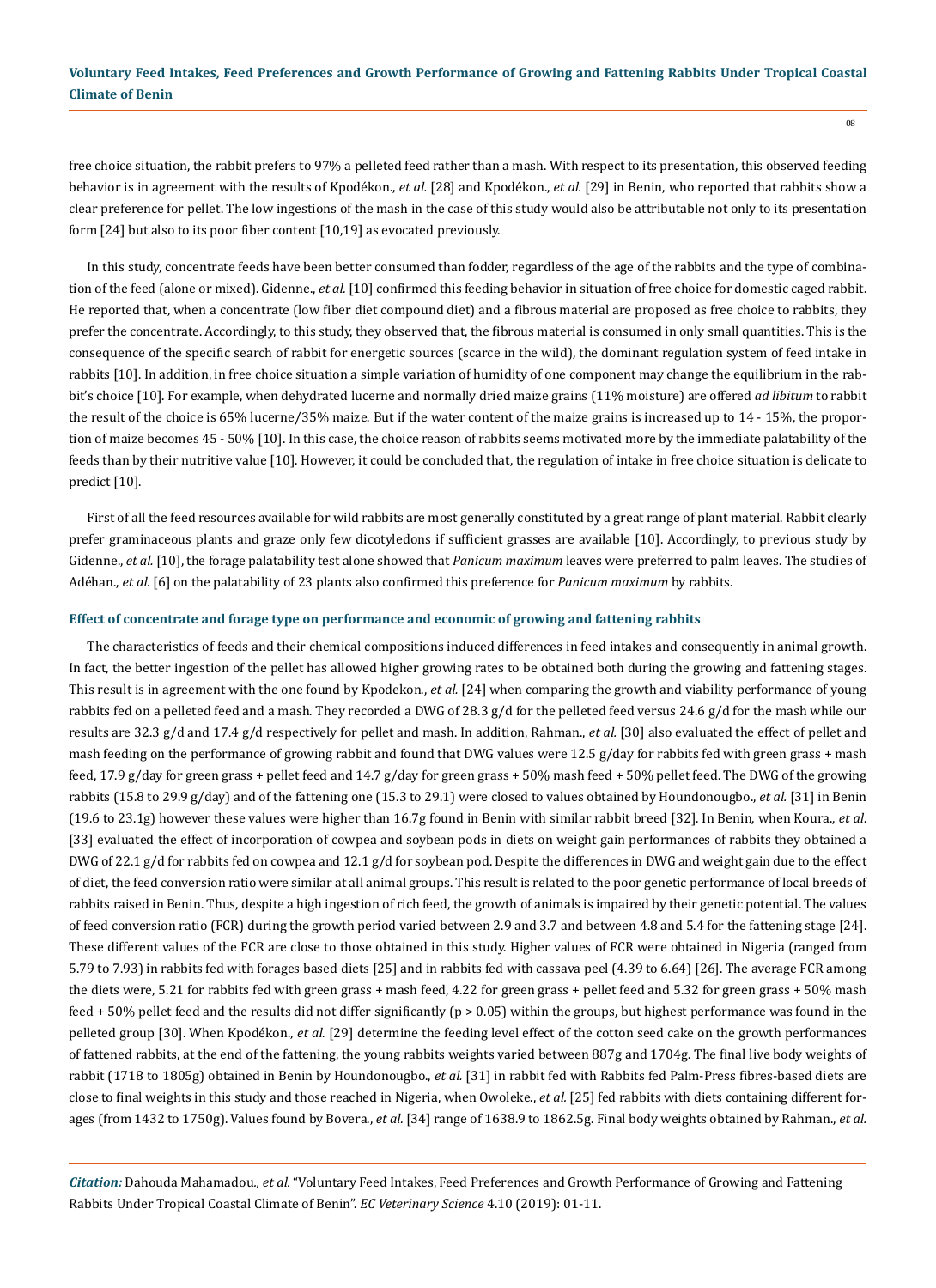free choice situation, the rabbit prefers to 97% a pelleted feed rather than a mash. With respect to its presentation, this observed feeding behavior is in agreement with the results of Kpodékon., *et al.* [28] and Kpodékon., *et al.* [29] in Benin, who reported that rabbits show a clear preference for pellet. The low ingestions of the mash in the case of this study would also be attributable not only to its presentation form [24] but also to its poor fiber content [10,19] as evocated previously.

In this study, concentrate feeds have been better consumed than fodder, regardless of the age of the rabbits and the type of combination of the feed (alone or mixed). Gidenne., *et al.* [10] confirmed this feeding behavior in situation of free choice for domestic caged rabbit. He reported that, when a concentrate (low fiber diet compound diet) and a fibrous material are proposed as free choice to rabbits, they prefer the concentrate. Accordingly, to this study, they observed that, the fibrous material is consumed in only small quantities. This is the consequence of the specific search of rabbit for energetic sources (scarce in the wild), the dominant regulation system of feed intake in rabbits [10]. In addition, in free choice situation a simple variation of humidity of one component may change the equilibrium in the rabbit's choice [10]. For example, when dehydrated lucerne and normally dried maize grains (11% moisture) are offered *ad libitum* to rabbit the result of the choice is 65% lucerne/35% maize. But if the water content of the maize grains is increased up to 14 - 15%, the proportion of maize becomes 45 - 50% [10]. In this case, the choice reason of rabbits seems motivated more by the immediate palatability of the feeds than by their nutritive value [10]. However, it could be concluded that, the regulation of intake in free choice situation is delicate to predict [10].

First of all the feed resources available for wild rabbits are most generally constituted by a great range of plant material. Rabbit clearly prefer graminaceous plants and graze only few dicotyledons if sufficient grasses are available [10]. Accordingly, to previous study by Gidenne., *et al.* [10], the forage palatability test alone showed that *Panicum maximum* leaves were preferred to palm leaves. The studies of Adéhan., *et al.* [6] on the palatability of 23 plants also confirmed this preference for *Panicum maximum* by rabbits.

#### **Effect of concentrate and forage type on performance and economic of growing and fattening rabbits**

The characteristics of feeds and their chemical compositions induced differences in feed intakes and consequently in animal growth. In fact, the better ingestion of the pellet has allowed higher growing rates to be obtained both during the growing and fattening stages. This result is in agreement with the one found by Kpodekon., *et al.* [24] when comparing the growth and viability performance of young rabbits fed on a pelleted feed and a mash. They recorded a DWG of 28.3 g/d for the pelleted feed versus 24.6 g/d for the mash while our results are 32.3 g/d and 17.4 g/d respectively for pellet and mash. In addition, Rahman., *et al.* [30] also evaluated the effect of pellet and mash feeding on the performance of growing rabbit and found that DWG values were 12.5 g/day for rabbits fed with green grass + mash feed, 17.9 g/day for green grass + pellet feed and 14.7 g/day for green grass + 50% mash feed + 50% pellet feed. The DWG of the growing rabbits (15.8 to 29.9 g/day) and of the fattening one (15.3 to 29.1) were closed to values obtained by Houndonougbo., *et al.* [31] in Benin (19.6 to 23.1g) however these values were higher than 16.7g found in Benin with similar rabbit breed [32]. In Benin, when Koura., *et al*. [33] evaluated the effect of incorporation of cowpea and soybean pods in diets on weight gain performances of rabbits they obtained a DWG of 22.1 g/d for rabbits fed on cowpea and 12.1 g/d for soybean pod. Despite the differences in DWG and weight gain due to the effect of diet, the feed conversion ratio were similar at all animal groups. This result is related to the poor genetic performance of local breeds of rabbits raised in Benin. Thus, despite a high ingestion of rich feed, the growth of animals is impaired by their genetic potential. The values of feed conversion ratio (FCR) during the growth period varied between 2.9 and 3.7 and between 4.8 and 5.4 for the fattening stage [24]. These different values of the FCR are close to those obtained in this study. Higher values of FCR were obtained in Nigeria (ranged from 5.79 to 7.93) in rabbits fed with forages based diets [25] and in rabbits fed with cassava peel (4.39 to 6.64) [26]. The average FCR among the diets were, 5.21 for rabbits fed with green grass + mash feed, 4.22 for green grass + pellet feed and 5.32 for green grass + 50% mash feed + 50% pellet feed and the results did not differ significantly (p > 0.05) within the groups, but highest performance was found in the pelleted group [30]. When Kpodékon., *et al.* [29] determine the feeding level effect of the cotton seed cake on the growth performances of fattened rabbits, at the end of the fattening, the young rabbits weights varied between 887g and 1704g. The final live body weights of rabbit (1718 to 1805g) obtained in Benin by Houndonougbo., *et al.* [31] in rabbit fed with Rabbits fed Palm-Press fibres-based diets are close to final weights in this study and those reached in Nigeria, when Owoleke., *et al.* [25] fed rabbits with diets containing different forages (from 1432 to 1750g). Values found by Bovera., *et al.* [34] range of 1638.9 to 1862.5g. Final body weights obtained by Rahman., *et al.*

*Citation:* Dahouda Mahamadou*., et al.* "Voluntary Feed Intakes, Feed Preferences and Growth Performance of Growing and Fattening Rabbits Under Tropical Coastal Climate of Benin". *EC Veterinary Science* 4.10 (2019): 01-11.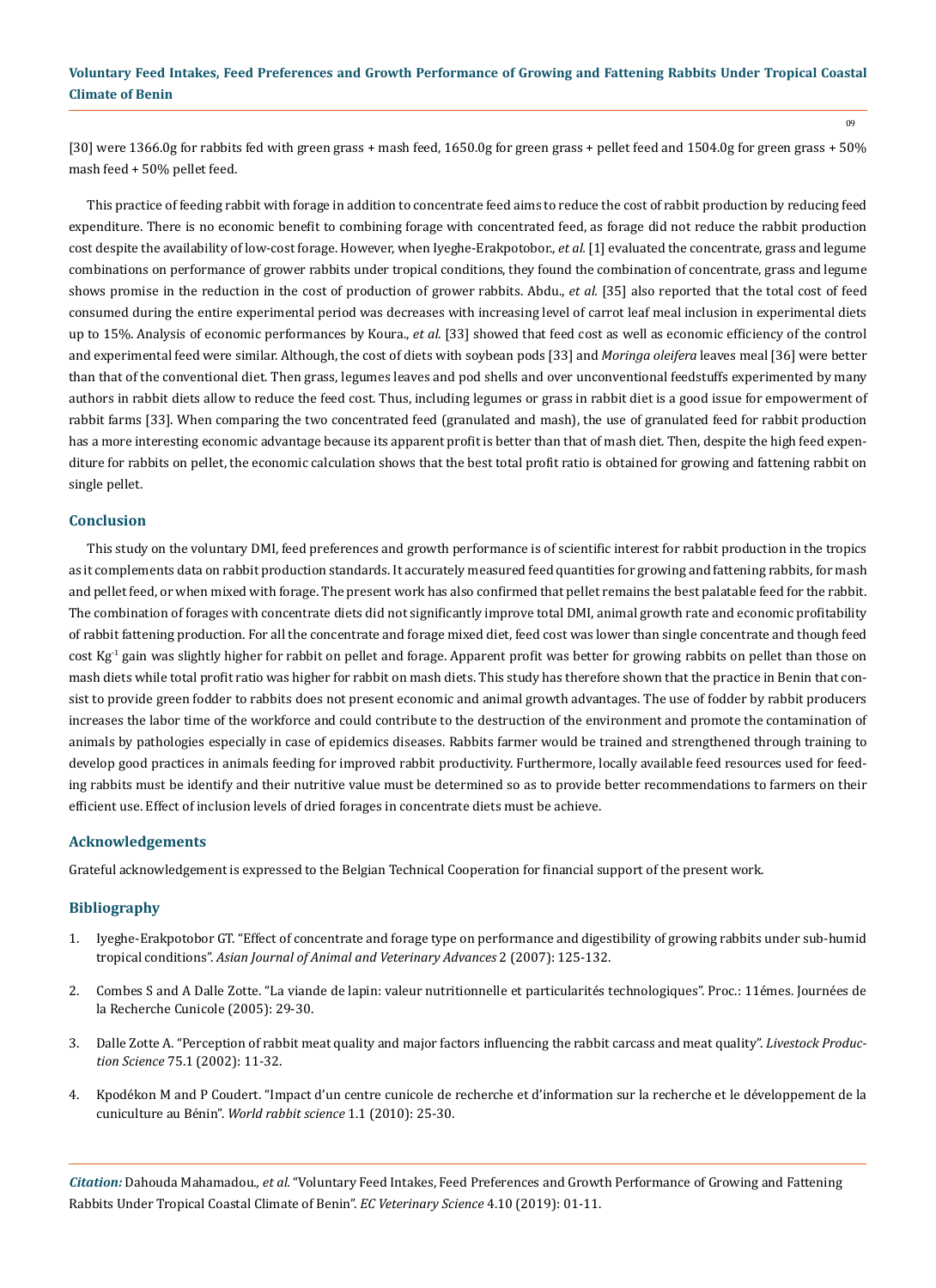09

[30] were 1366.0g for rabbits fed with green grass + mash feed, 1650.0g for green grass + pellet feed and 1504.0g for green grass + 50% mash feed + 50% pellet feed.

This practice of feeding rabbit with forage in addition to concentrate feed aims to reduce the cost of rabbit production by reducing feed expenditure. There is no economic benefit to combining forage with concentrated feed, as forage did not reduce the rabbit production cost despite the availability of low-cost forage. However, when Iyeghe-Erakpotobor., *et al.* [1] evaluated the concentrate, grass and legume combinations on performance of grower rabbits under tropical conditions, they found the combination of concentrate, grass and legume shows promise in the reduction in the cost of production of grower rabbits. Abdu., *et al.* [35] also reported that the total cost of feed consumed during the entire experimental period was decreases with increasing level of carrot leaf meal inclusion in experimental diets up to 15%. Analysis of economic performances by Koura., *et al.* [33] showed that feed cost as well as economic efficiency of the control and experimental feed were similar. Although, the cost of diets with soybean pods [33] and *Moringa oleifera* leaves meal [36] were better than that of the conventional diet. Then grass, legumes leaves and pod shells and over unconventional feedstuffs experimented by many authors in rabbit diets allow to reduce the feed cost. Thus, including legumes or grass in rabbit diet is a good issue for empowerment of rabbit farms [33]. When comparing the two concentrated feed (granulated and mash), the use of granulated feed for rabbit production has a more interesting economic advantage because its apparent profit is better than that of mash diet. Then, despite the high feed expenditure for rabbits on pellet, the economic calculation shows that the best total profit ratio is obtained for growing and fattening rabbit on single pellet.

## **Conclusion**

This study on the voluntary DMI, feed preferences and growth performance is of scientific interest for rabbit production in the tropics as it complements data on rabbit production standards. It accurately measured feed quantities for growing and fattening rabbits, for mash and pellet feed, or when mixed with forage. The present work has also confirmed that pellet remains the best palatable feed for the rabbit. The combination of forages with concentrate diets did not significantly improve total DMI, animal growth rate and economic profitability of rabbit fattening production. For all the concentrate and forage mixed diet, feed cost was lower than single concentrate and though feed cost  $Kg^{-1}$  gain was slightly higher for rabbit on pellet and forage. Apparent profit was better for growing rabbits on pellet than those on mash diets while total profit ratio was higher for rabbit on mash diets. This study has therefore shown that the practice in Benin that consist to provide green fodder to rabbits does not present economic and animal growth advantages. The use of fodder by rabbit producers increases the labor time of the workforce and could contribute to the destruction of the environment and promote the contamination of animals by pathologies especially in case of epidemics diseases. Rabbits farmer would be trained and strengthened through training to develop good practices in animals feeding for improved rabbit productivity. Furthermore, locally available feed resources used for feeding rabbits must be identify and their nutritive value must be determined so as to provide better recommendations to farmers on their efficient use. Effect of inclusion levels of dried forages in concentrate diets must be achieve.

#### **Acknowledgements**

Grateful acknowledgement is expressed to the Belgian Technical Cooperation for financial support of the present work.

#### **Bibliography**

- 1. [Iyeghe-Erakpotobor GT. "Effect of concentrate and forage type on performance and digestibility of growing rabbits under sub-humid](https://scialert.net/abstract/?doi=ajava.2007.125.132)  tropical conditions". *[Asian Journal of Animal and Veterinary Advances](https://scialert.net/abstract/?doi=ajava.2007.125.132)* 2 (2007): 125-132.
- 2. Combes S and A Dalle Zotte. "La viande de lapin: valeur nutritionnelle et particularités technologiques". Proc.: 11émes. Journées de la Recherche Cunicole (2005): 29-30.
- 3. [Dalle Zotte A. "Perception of rabbit meat quality and major factors influencing the rabbit carcass and meat quality".](https://www.sciencedirect.com/science/article/pii/S0301622601003086) *Livestock Production Science* [75.1 \(2002\): 11-32.](https://www.sciencedirect.com/science/article/pii/S0301622601003086)
- 4. [Kpodékon M and P Coudert. "Impact d'un centre cunicole de recherche et d'information sur la recherche et le développement de la](https://polipapers.upv.es/index.php/wrs/article/view/192/0)  cuniculture au Bénin". *[World rabbit science](https://polipapers.upv.es/index.php/wrs/article/view/192/0)* 1.1 (2010): 25-30.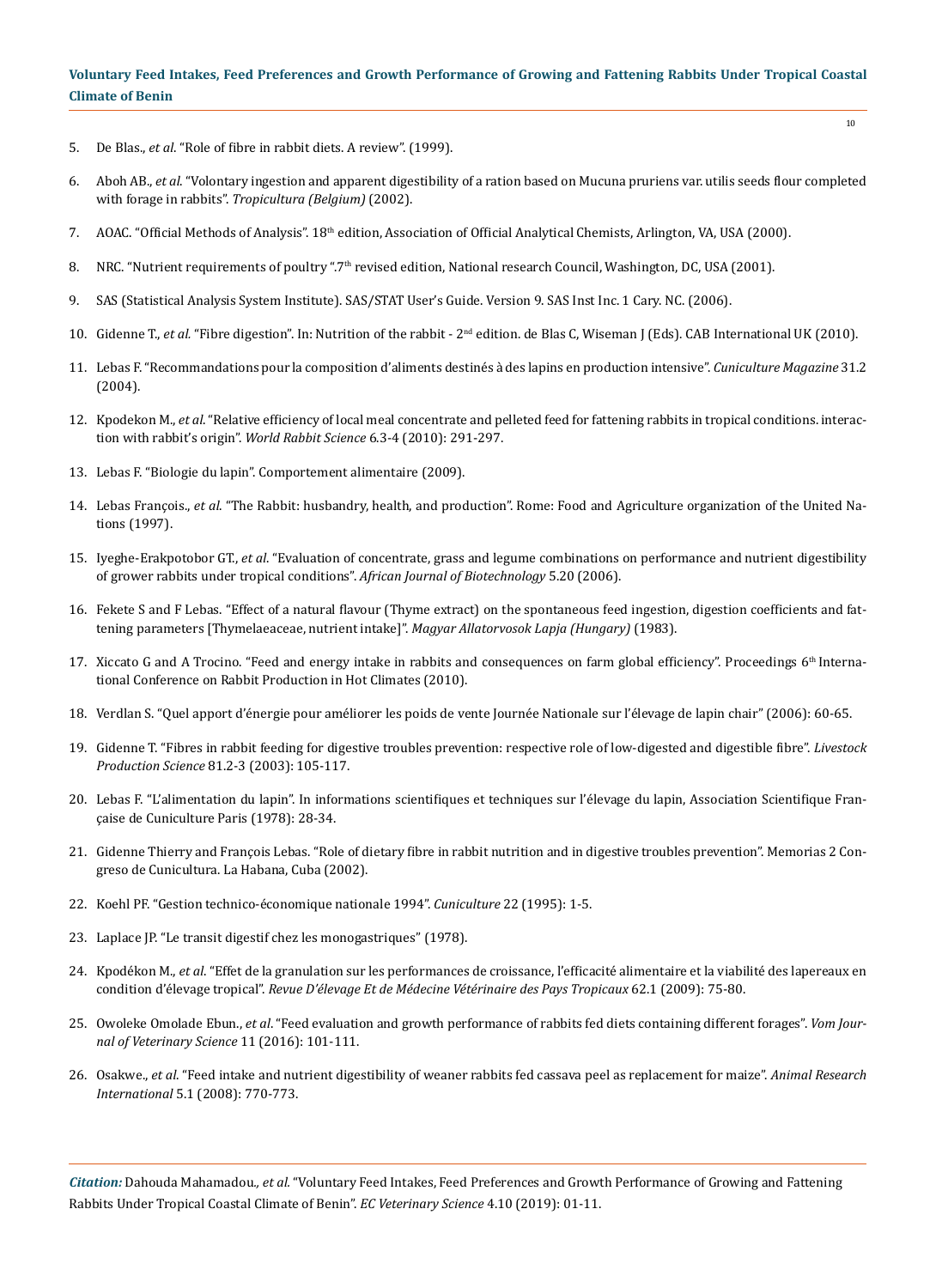- 5. De Blas., *et al*[. "Role of fibre in rabbit diets. A review". \(1999\).](https://hal.archives-ouvertes.fr/hal-00889777/document)
- 6. Aboh AB., *et al*[. "Volontary ingestion and apparent digestibility of a ration based on Mucuna pruriens var. utilis seeds flour completed](http://agris.fao.org/agris-search/search.do?recordID=BE2003000101) with forage in rabbits". *[Tropicultura \(Belgium\)](http://agris.fao.org/agris-search/search.do?recordID=BE2003000101)* (2002).
- 7. AOAC. "Official Methods of Analysis". 18<sup>th</sup> edition, Association of Official Analytical Chemists, Arlington, VA, USA (2000).
- 8. NRC. "Nutrient requirements of poultry ".7<sup>th</sup> revised edition, National research Council, Washington, DC, USA (2001).
- 9. SAS (Statistical Analysis System Institute). SAS/STAT User's Guide. Version 9. SAS Inst Inc. 1 Cary. NC. (2006).
- 10. Gidenne T., *et al.* "Fibre digestion". In: Nutrition of the rabbit 2nd edition. de Blas C, Wiseman J (Eds). CAB International UK (2010).
- 11. [Lebas F. "Recommandations pour la composition d'aliments destinés à des lapins en production intensive".](https://www.researchgate.net/publication/271962864_Recommandations_pour_la_composition_d) *Cuniculture Magazine* 31.2 [\(2004\).](https://www.researchgate.net/publication/271962864_Recommandations_pour_la_composition_d)
- 12. Kpodekon M., *et al*[. "Relative efficiency of local meal concentrate and pelleted feed for fattening rabbits in tropical conditions. interac](https://polipapers.upv.es/index.php/wrs/article/view/359)[tion with rabbit's origin".](https://polipapers.upv.es/index.php/wrs/article/view/359) *World Rabbit Science* 6.3-4 (2010): 291-297.
- 13. Lebas F. "Biologie du lapin". Comportement alimentaire (2009).
- 14. Lebas François., *et al*. "The Rabbit: husbandry, health, and production". Rome: Food and Agriculture organization of the United Nations (1997).
- 15. Iyeghe-Erakpotobor GT., *et al*[. "Evaluation of concentrate, grass and legume combinations on performance and nutrient digestibility](https://www.researchgate.net/publication/235800062_Evaluation_of_concentrate_grass_and_legume_combinations_on_performance_and_nutrient_digestibility_of_grower_rabbits_under_tropical_conditions)  [of grower rabbits under tropical conditions".](https://www.researchgate.net/publication/235800062_Evaluation_of_concentrate_grass_and_legume_combinations_on_performance_and_nutrient_digestibility_of_grower_rabbits_under_tropical_conditions) *African Journal of Biotechnology* 5.20 (2006).
- 16. [Fekete S and F Lebas. "Effect of a natural flavour \(Thyme extract\) on the spontaneous feed ingestion, digestion coefficients and fat](http://agris.fao.org/agris-search/search.do?recordID=HU8300481)[tening parameters \[Thymelaeaceae, nutrient intake\]".](http://agris.fao.org/agris-search/search.do?recordID=HU8300481) *Magyar Allatorvosok Lapja (Hungary)* (1983).
- 17. Xiccato G and A Trocino. "Feed and energy intake in rabbits and consequences on farm global efficiency". Proceedings 6<sup>th</sup> International Conference on Rabbit Production in Hot Climates (2010).
- 18. Verdlan S. "Quel apport d'énergie pour améliorer les poids de vente Journée Nationale sur l'élevage de lapin chair" (2006): 60-65.
- 19. [Gidenne T. "Fibres in rabbit feeding for digestive troubles prevention: respective role of low-digested and digestible fibre".](https://www.sciencedirect.com/science/article/pii/S0301622602003019) *Livestock Production Science* [81.2-3 \(2003\): 105-117.](https://www.sciencedirect.com/science/article/pii/S0301622602003019)
- 20. Lebas F. "L'alimentation du lapin". In informations scientifiques et techniques sur l'élevage du lapin, Association Scientifique Française de Cuniculture Paris (1978): 28-34.
- 21. Gidenne Thierry and François Lebas. "Role of dietary fibre in rabbit nutrition and in digestive troubles prevention". Memorias 2 Congreso de Cunicultura. La Habana, Cuba (2002).
- 22. Koehl PF. "Gestion technico-économique nationale 1994". *Cuniculture* 22 (1995): 1-5.
- 23. Laplace JP. "Le transit digestif chez les monogastriques" (1978).
- 24. Kpodékon M., *et al*[. "Effet de la granulation sur les performances de croissance, l'efficacité alimentaire et la viabilité des lapereaux en](http://revues.cirad.fr/index.php/REMVT/article/view/10097) condition d'élevage tropical". *[Revue D'élevage Et de Médecine Vétérinaire des Pays Tropicaux](http://revues.cirad.fr/index.php/REMVT/article/view/10097)* 62.1 (2009): 75-80.
- 25. Owoleke Omolade Ebun., *et al*[. "Feed evaluation and growth performance of rabbits fed diets containing different forages".](https://www.cabdirect.org/cabdirect/abstract/20183113316) *Vom Jour[nal of Veterinary Science](https://www.cabdirect.org/cabdirect/abstract/20183113316)* 11 (2016): 101-111.
- 26. Osakwe., *et al*[. "Feed intake and nutrient digestibility of weaner rabbits fed cassava peel as replacement for maize".](http://citeseerx.ist.psu.edu/viewdoc/download?doi=10.1.1.404.876&rep=rep1&type=pdf) *Animal Research International* [5.1 \(2008\): 770-773.](http://citeseerx.ist.psu.edu/viewdoc/download?doi=10.1.1.404.876&rep=rep1&type=pdf)

*Citation:* Dahouda Mahamadou*., et al.* "Voluntary Feed Intakes, Feed Preferences and Growth Performance of Growing and Fattening Rabbits Under Tropical Coastal Climate of Benin". *EC Veterinary Science* 4.10 (2019): 01-11.